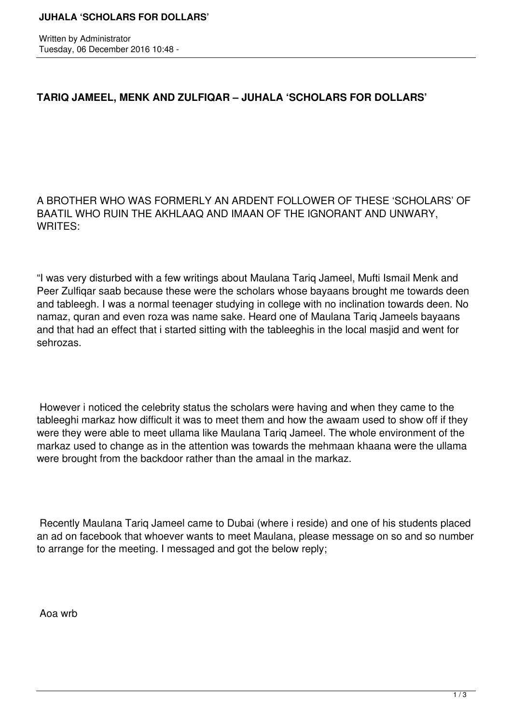Written by Administrator Tuesday, 06 December 2016 10:48 -

## **TARIQ JAMEEL, MENK AND ZULFIQAR – JUHALA 'SCHOLARS FOR DOLLARS'**

A BROTHER WHO WAS FORMERLY AN ARDENT FOLLOWER OF THESE 'SCHOLARS' OF BAATIL WHO RUIN THE AKHLAAQ AND IMAAN OF THE IGNORANT AND UNWARY, WRITES:

"I was very disturbed with a few writings about Maulana Tariq Jameel, Mufti Ismail Menk and Peer Zulfiqar saab because these were the scholars whose bayaans brought me towards deen and tableegh. I was a normal teenager studying in college with no inclination towards deen. No namaz, quran and even roza was name sake. Heard one of Maulana Tariq Jameels bayaans and that had an effect that i started sitting with the tableeghis in the local masjid and went for sehrozas.

 However i noticed the celebrity status the scholars were having and when they came to the tableeghi markaz how difficult it was to meet them and how the awaam used to show off if they were they were able to meet ullama like Maulana Tariq Jameel. The whole environment of the markaz used to change as in the attention was towards the mehmaan khaana were the ullama were brought from the backdoor rather than the amaal in the markaz.

 Recently Maulana Tariq Jameel came to Dubai (where i reside) and one of his students placed an ad on facebook that whoever wants to meet Maulana, please message on so and so number to arrange for the meeting. I messaged and got the below reply;

Aoa wrb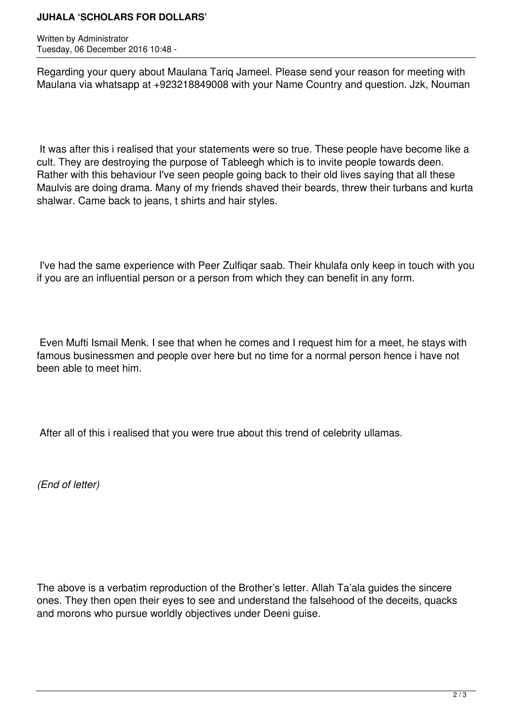## **JUHALA 'SCHOLARS FOR DOLLARS'**

Written by Administrator Tuesday, 06 December 2016 10:48 -

Regarding your query about Maulana Tariq Jameel. Please send your reason for meeting with Maulana via whatsapp at +923218849008 with your Name Country and question. Jzk, Nouman

 It was after this i realised that your statements were so true. These people have become like a cult. They are destroying the purpose of Tableegh which is to invite people towards deen. Rather with this behaviour I've seen people going back to their old lives saying that all these Maulvis are doing drama. Many of my friends shaved their beards, threw their turbans and kurta shalwar. Came back to jeans, t shirts and hair styles.

 I've had the same experience with Peer Zulfiqar saab. Their khulafa only keep in touch with you if you are an influential person or a person from which they can benefit in any form.

 Even Mufti Ismail Menk. I see that when he comes and I request him for a meet, he stays with famous businessmen and people over here but no time for a normal person hence i have not been able to meet him.

After all of this i realised that you were true about this trend of celebrity ullamas.

*(End of letter)*

The above is a verbatim reproduction of the Brother's letter. Allah Ta'ala guides the sincere ones. They then open their eyes to see and understand the falsehood of the deceits, quacks and morons who pursue worldly objectives under Deeni guise.